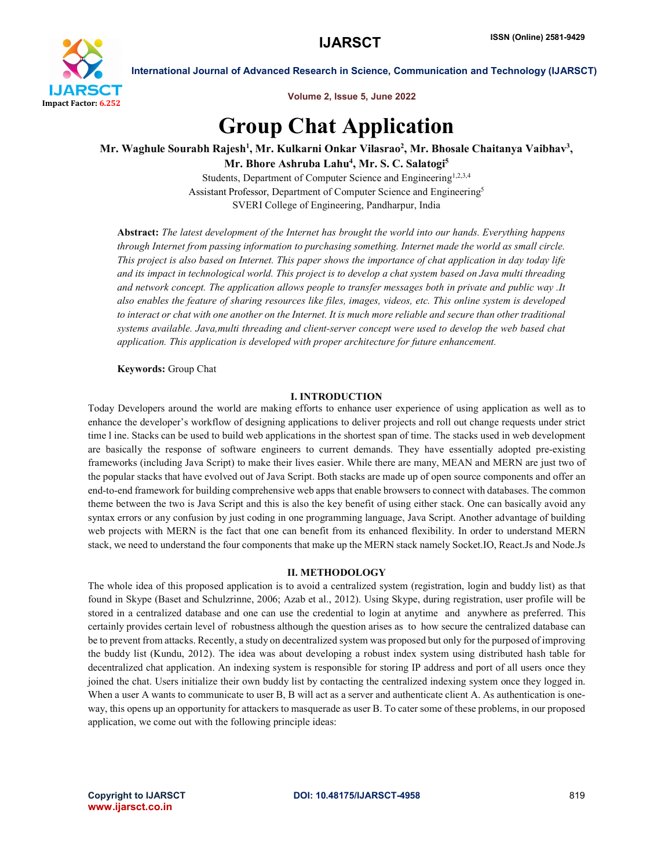

Volume 2, Issue 5, June 2022

International Journal of Advanced Research in Science, Communication and Technology (IJARSCT)

# Group Chat Application

Mr. Waghule Sourabh Rajesh<sup>1</sup>, Mr. Kulkarni Onkar Vilasrao<sup>2</sup>, Mr. Bhosale Chaitanya Vaibhav<sup>3</sup>, Mr. Bhore Ashruba Lahu<sup>4</sup>, Mr. S. C. Salatogi<sup>5</sup>

Students, Department of Computer Science and Engineering<sup>1,2,3,4</sup> Assistant Professor, Department of Computer Science and Engineering5 SVERI College of Engineering, Pandharpur, India

Abstract: *The latest development of the Internet has brought the world into our hands. Everything happens through Internet from passing information to purchasing something. Internet made the world as small circle. This project is also based on Internet. This paper shows the importance of chat application in day today life and its impact in technological world. This project is to develop a chat system based on Java multi threading and network concept. The application allows people to transfer messages both in private and public way .It also enables the feature of sharing resources like files, images, videos, etc. This online system is developed*  to interact or chat with one another on the Internet. It is much more reliable and secure than other traditional *systems available. Java,multi threading and client-server concept were used to develop the web based chat application. This application is developed with proper architecture for future enhancement.*

Keywords: Group Chat

# I. INTRODUCTION

Today Developers around the world are making efforts to enhance user experience of using application as well as to enhance the developer's workflow of designing applications to deliver projects and roll out change requests under strict time l ine. Stacks can be used to build web applications in the shortest span of time. The stacks used in web development are basically the response of software engineers to current demands. They have essentially adopted pre-existing frameworks (including Java Script) to make their lives easier. While there are many, MEAN and MERN are just two of the popular stacks that have evolved out of Java Script. Both stacks are made up of open source components and offer an end-to-end framework for building comprehensive web apps that enable browsers to connect with databases. The common theme between the two is Java Script and this is also the key benefit of using either stack. One can basically avoid any syntax errors or any confusion by just coding in one programming language, Java Script. Another advantage of building web projects with MERN is the fact that one can benefit from its enhanced flexibility. In order to understand MERN stack, we need to understand the four components that make up the MERN stack namely Socket.IO, React.Js and Node.Js

### II. METHODOLOGY

The whole idea of this proposed application is to avoid a centralized system (registration, login and buddy list) as that found in Skype (Baset and Schulzrinne, 2006; Azab et al., 2012). Using Skype, during registration, user profile will be stored in a centralized database and one can use the credential to login at anytime and anywhere as preferred. This certainly provides certain level of robustness although the question arises as to how secure the centralized database can be to prevent from attacks. Recently, a study on decentralized system was proposed but only for the purposed of improving the buddy list (Kundu, 2012). The idea was about developing a robust index system using distributed hash table for decentralized chat application. An indexing system is responsible for storing IP address and port of all users once they joined the chat. Users initialize their own buddy list by contacting the centralized indexing system once they logged in. When a user A wants to communicate to user B, B will act as a server and authenticate client A. As authentication is oneway, this opens up an opportunity for attackers to masquerade as user B. To cater some of these problems, in our proposed application, we come out with the following principle ideas:

www.ijarsct.co.in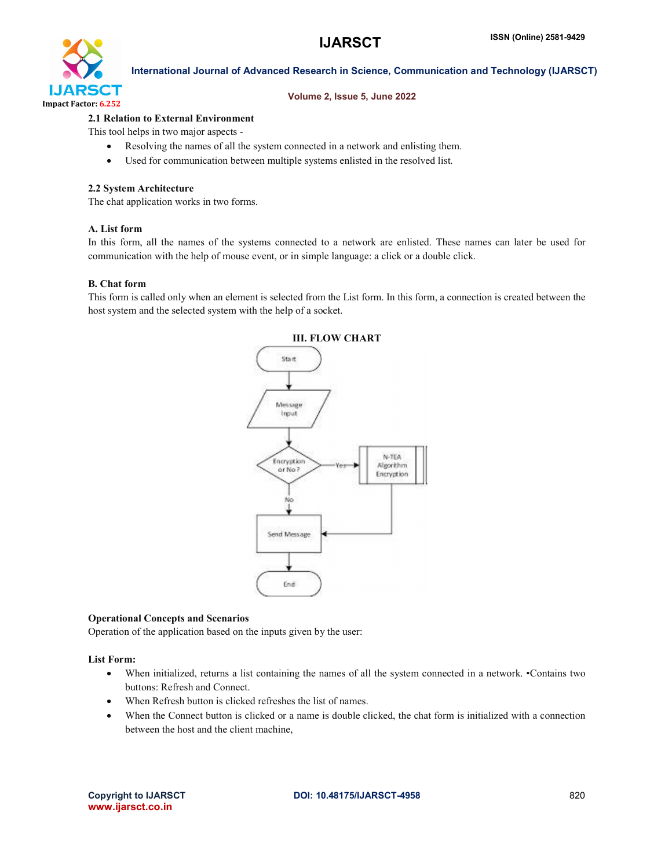

### Volume 2, Issue 5, June 2022

### 2.1 Relation to External Environment

This tool helps in two major aspects -

- Resolving the names of all the system connected in a network and enlisting them.
- Used for communication between multiple systems enlisted in the resolved list.

### 2.2 System Architecture

The chat application works in two forms.

### A. List form

In this form, all the names of the systems connected to a network are enlisted. These names can later be used for communication with the help of mouse event, or in simple language: a click or a double click.

### B. Chat form

This form is called only when an element is selected from the List form. In this form, a connection is created between the host system and the selected system with the help of a socket.



### Operational Concepts and Scenarios

Operation of the application based on the inputs given by the user:

List Form:

- When initialized, returns a list containing the names of all the system connected in a network. •Contains two buttons: Refresh and Connect.
- When Refresh button is clicked refreshes the list of names.
- When the Connect button is clicked or a name is double clicked, the chat form is initialized with a connection between the host and the client machine,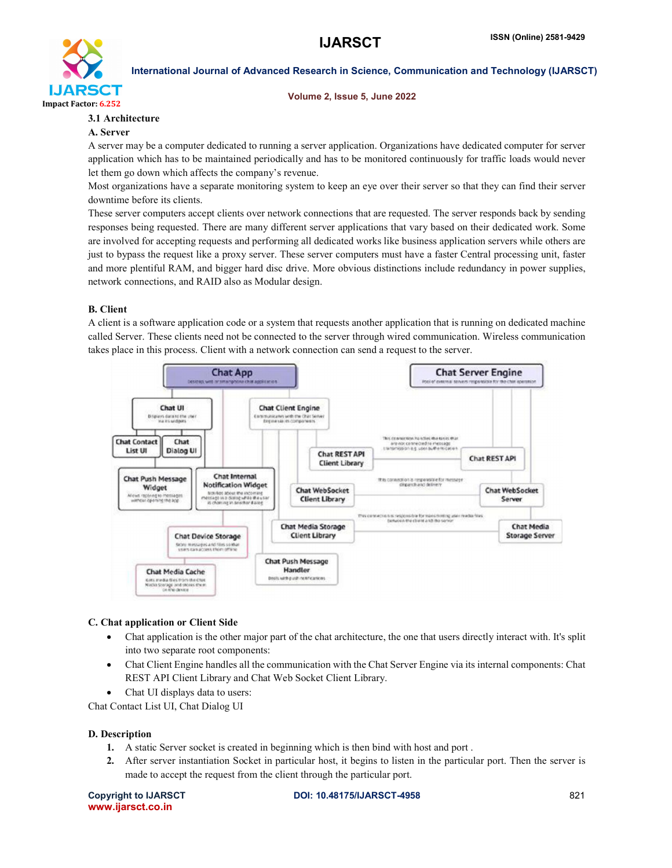

### Volume 2, Issue 5, June 2022

# 3.1 Architecture

# A. Server

A server may be a computer dedicated to running a server application. Organizations have dedicated computer for server application which has to be maintained periodically and has to be monitored continuously for traffic loads would never let them go down which affects the company's revenue.

Most organizations have a separate monitoring system to keep an eye over their server so that they can find their server downtime before its clients.

These server computers accept clients over network connections that are requested. The server responds back by sending responses being requested. There are many different server applications that vary based on their dedicated work. Some are involved for accepting requests and performing all dedicated works like business application servers while others are just to bypass the request like a proxy server. These server computers must have a faster Central processing unit, faster and more plentiful RAM, and bigger hard disc drive. More obvious distinctions include redundancy in power supplies, network connections, and RAID also as Modular design.

# B. Client

A client is a software application code or a system that requests another application that is running on dedicated machine called Server. These clients need not be connected to the server through wired communication. Wireless communication takes place in this process. Client with a network connection can send a request to the server.



# C. Chat application or Client Side

- Chat application is the other major part of the chat architecture, the one that users directly interact with. It's split into two separate root components:
- Chat Client Engine handles all the communication with the Chat Server Engine via its internal components: Chat REST API Client Library and Chat Web Socket Client Library.
- Chat UI displays data to users:

Chat Contact List UI, Chat Dialog UI

# D. Description

- 1. A static Server socket is created in beginning which is then bind with host and port .
- 2. After server instantiation Socket in particular host, it begins to listen in the particular port. Then the server is made to accept the request from the client through the particular port.

www.ijarsct.co.in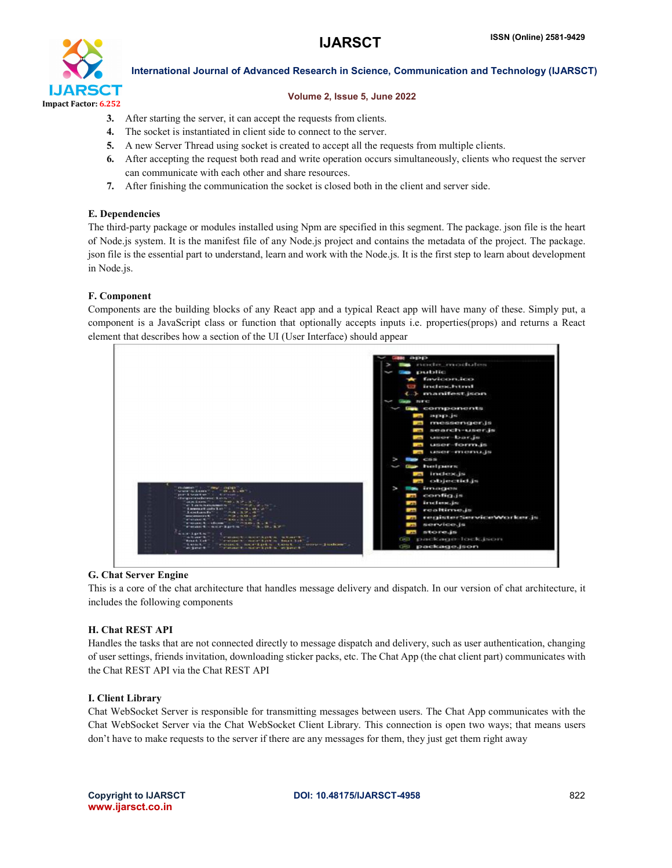

# Volume 2, Issue 5, June 2022

- 3. After starting the server, it can accept the requests from clients.
- 4. The socket is instantiated in client side to connect to the server.
- 5. A new Server Thread using socket is created to accept all the requests from multiple clients.
- 6. After accepting the request both read and write operation occurs simultaneously, clients who request the server can communicate with each other and share resources.
- 7. After finishing the communication the socket is closed both in the client and server side.

# E. Dependencies

The third-party package or modules installed using Npm are specified in this segment. The package. json file is the heart of Node.js system. It is the manifest file of any Node.js project and contains the metadata of the project. The package. json file is the essential part to understand, learn and work with the Node.js. It is the first step to learn about development in Node.js.

# F. Component

Components are the building blocks of any React app and a typical React app will have many of these. Simply put, a component is a JavaScript class or function that optionally accepts inputs i.e. properties(props) and returns a React element that describes how a section of the UI (User Interface) should appear



# G. Chat Server Engine

This is a core of the chat architecture that handles message delivery and dispatch. In our version of chat architecture, it includes the following components

# H. Chat REST API

Handles the tasks that are not connected directly to message dispatch and delivery, such as user authentication, changing of user settings, friends invitation, downloading sticker packs, etc. The Chat App (the chat client part) communicates with the Chat REST API via the Chat REST API

# I. Client Library

Chat WebSocket Server is responsible for transmitting messages between users. The Chat App communicates with the Chat WebSocket Server via the Chat WebSocket Client Library. This connection is open two ways; that means users don't have to make requests to the server if there are any messages for them, they just get them right away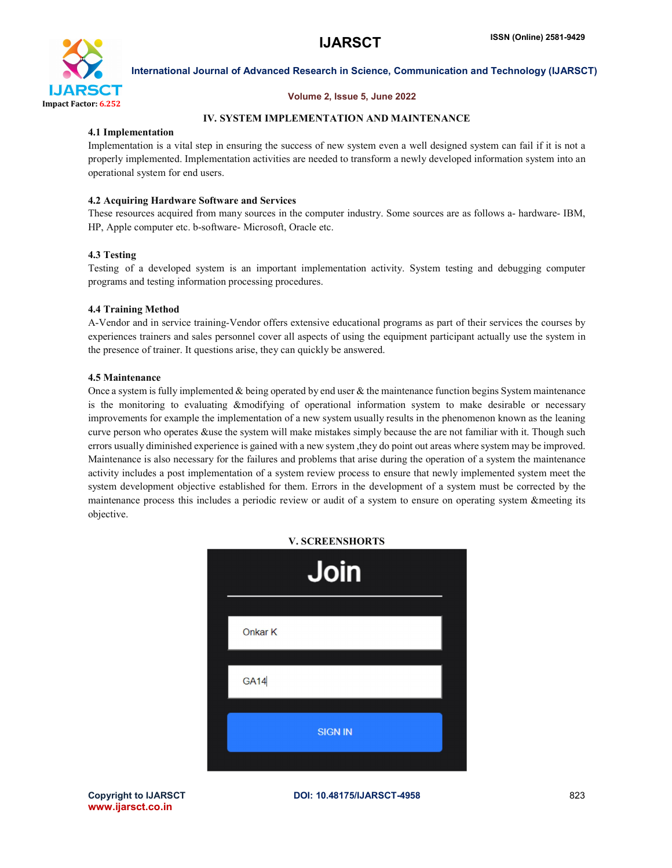

# Volume 2, Issue 5, June 2022

# IV. SYSTEM IMPLEMENTATION AND MAINTENANCE

# 4.1 Implementation

Implementation is a vital step in ensuring the success of new system even a well designed system can fail if it is not a properly implemented. Implementation activities are needed to transform a newly developed information system into an operational system for end users.

# 4.2 Acquiring Hardware Software and Services

These resources acquired from many sources in the computer industry. Some sources are as follows a- hardware- IBM, HP, Apple computer etc. b-software- Microsoft, Oracle etc.

# 4.3 Testing

Testing of a developed system is an important implementation activity. System testing and debugging computer programs and testing information processing procedures.

### 4.4 Training Method

A-Vendor and in service training-Vendor offers extensive educational programs as part of their services the courses by experiences trainers and sales personnel cover all aspects of using the equipment participant actually use the system in the presence of trainer. It questions arise, they can quickly be answered.

# 4.5 Maintenance

Once a system is fully implemented  $&$  being operated by end user  $&$  the maintenance function begins System maintenance is the monitoring to evaluating &modifying of operational information system to make desirable or necessary improvements for example the implementation of a new system usually results in the phenomenon known as the leaning curve person who operates &use the system will make mistakes simply because the are not familiar with it. Though such errors usually diminished experience is gained with a new system ,they do point out areas where system may be improved. Maintenance is also necessary for the failures and problems that arise during the operation of a system the maintenance activity includes a post implementation of a system review process to ensure that newly implemented system meet the system development objective established for them. Errors in the development of a system must be corrected by the maintenance process this includes a periodic review or audit of a system to ensure on operating system &meeting its objective.



www.ijarsct.co.in